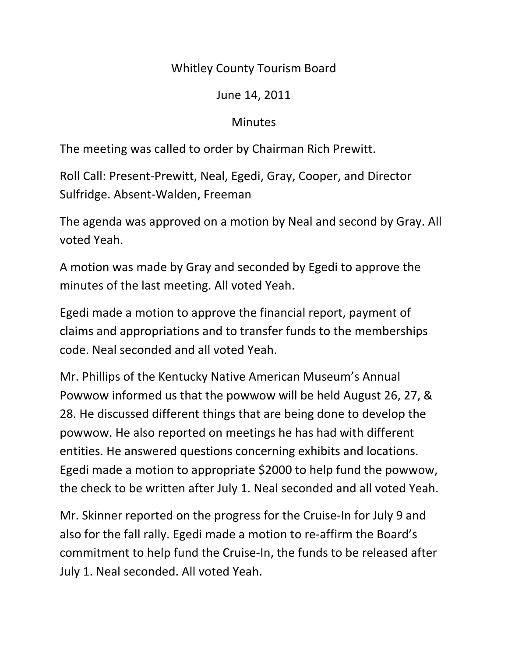## Whitley County Tourism Board

## June 14, 2011

## **Minutes**

The meeting was called to order by Chairman Rich Prewitt.

Roll Call: Present-Prewitt, Neal, Egedi, Gray, Cooper, and Director Sulfridge. Absent-Walden, Freeman

The agenda was approved on a motion by Neal and second by Gray. All voted Yeah.

A motion was made by Gray and seconded by Egedi to approve the minutes of the last meeting. All voted Yeah.

Egedi made a motion to approve the financial report, payment of claims and appropriations and to transfer funds to the memberships code. Neal seconded and all voted Yeah.

Mr. Phillips of the Kentucky Native American Museum's Annual Powwow informed us that the powwow will be held August 26, 27, & 28. He discussed different things that are being done to develop the powwow. He also reported on meetings he has had with different entities. He answered questions concerning exhibits and locations. Egedi made a motion to appropriate \$2000 to help fund the powwow, the check to be written after July 1. Neal seconded and all voted Yeah.

Mr. Skinner reported on the progress for the Cruise-In for July 9 and also for the fall rally. Egedi made a motion to re-affirm the Board's commitment to help fund the Cruise-In, the funds to be released after July 1. Neal seconded. All voted Yeah.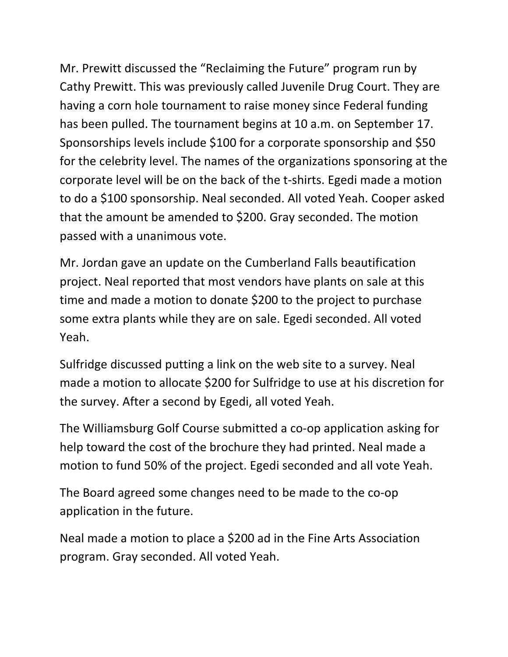Mr. Prewitt discussed the "Reclaiming the Future" program run by Cathy Prewitt. This was previously called Juvenile Drug Court. They are having a corn hole tournament to raise money since Federal funding has been pulled. The tournament begins at 10 a.m. on September 17. Sponsorships levels include \$100 for a corporate sponsorship and \$50 for the celebrity level. The names of the organizations sponsoring at the corporate level will be on the back of the t-shirts. Egedi made a motion to do a \$100 sponsorship. Neal seconded. All voted Yeah. Cooper asked that the amount be amended to \$200. Gray seconded. The motion passed with a unanimous vote.

Mr. Jordan gave an update on the Cumberland Falls beautification project. Neal reported that most vendors have plants on sale at this time and made a motion to donate \$200 to the project to purchase some extra plants while they are on sale. Egedi seconded. All voted Yeah.

Sulfridge discussed putting a link on the web site to a survey. Neal made a motion to allocate \$200 for Sulfridge to use at his discretion for the survey. After a second by Egedi, all voted Yeah.

The Williamsburg Golf Course submitted a co-op application asking for help toward the cost of the brochure they had printed. Neal made a motion to fund 50% of the project. Egedi seconded and all vote Yeah.

The Board agreed some changes need to be made to the co-op application in the future.

Neal made a motion to place a \$200 ad in the Fine Arts Association program. Gray seconded. All voted Yeah.